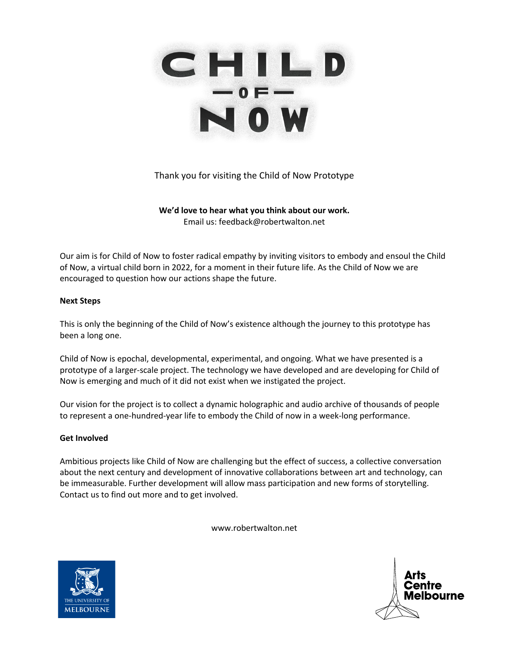

Thank you for visiting the Child of Now Prototype

**We'd love to hear what you think about our work.** Email us: feedback@robertwalton.net

Our aim is for Child of Now to foster radical empathy by inviting visitors to embody and ensoul the Child of Now, a virtual child born in 2022, for a moment in their future life. As the Child of Now we are encouraged to question how our actions shape the future.

# **Next Steps**

This is only the beginning of the Child of Now's existence although the journey to this prototype has been a long one.

Child of Now is epochal, developmental, experimental, and ongoing. What we have presented is a prototype of a larger-scale project. The technology we have developed and are developing for Child of Now is emerging and much of it did not exist when we instigated the project.

Our vision for the project is to collect a dynamic holographic and audio archive of thousands of people to represent a one-hundred-year life to embody the Child of now in a week-long performance.

# **Get Involved**

Ambitious projects like Child of Now are challenging but the effect of success, a collective conversation about the next century and development of innovative collaborations between art and technology, can be immeasurable. Further development will allow mass participation and new forms of storytelling. Contact us to find out more and to get involved.

www.robertwalton.net